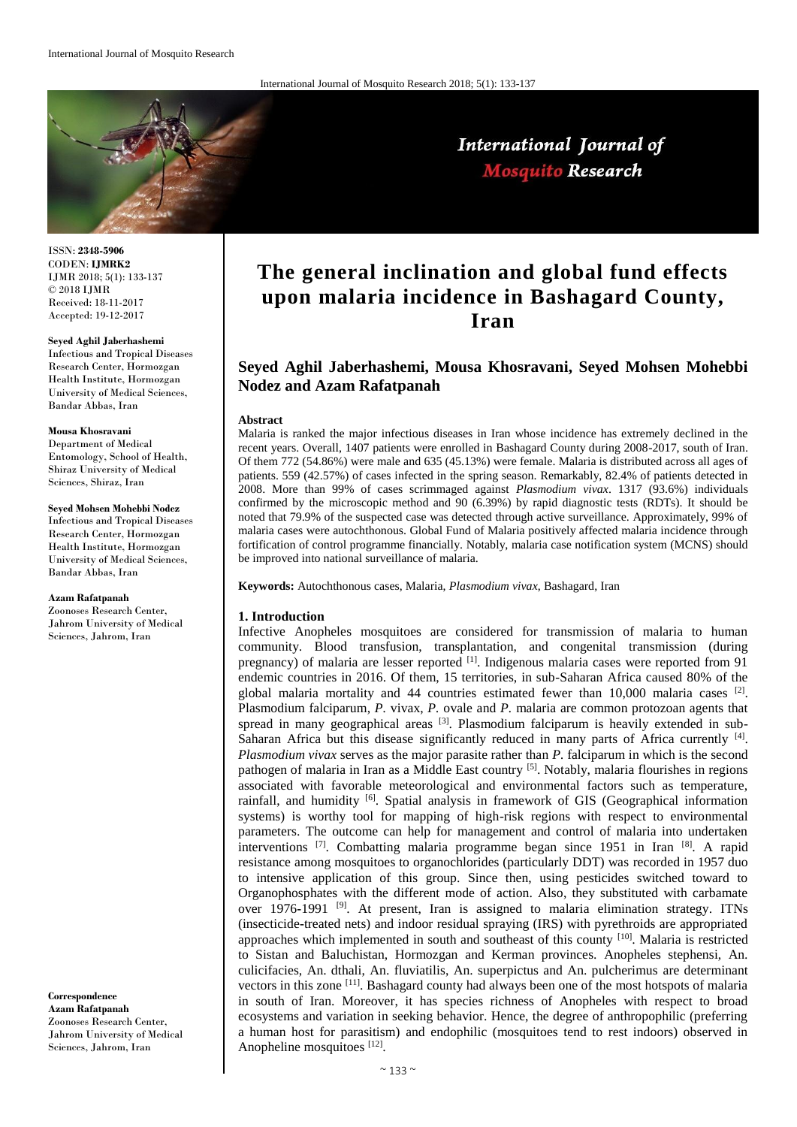

ISSN: **2348-5906** CODEN: **IJMRK2** IJMR 2018; 5(1): 133-137 © 2018 IJMR Received: 18-11-2017 Accepted: 19-12-2017

**Seyed Aghil Jaberhashemi** Infectious and Tropical Diseases Research Center, Hormozgan Health Institute, Hormozgan University of Medical Sciences, Bandar Abbas, Iran

### **Mousa Khosravani**

Department of Medical Entomology, School of Health, Shiraz University of Medical Sciences, Shiraz, Iran

#### **Seyed Mohsen Mohebbi Nodez**

Infectious and Tropical Diseases Research Center, Hormozgan Health Institute, Hormozgan University of Medical Sciences, Bandar Abbas, Iran

#### **Azam Rafatpanah**

Zoonoses Research Center, Jahrom University of Medical Sciences, Jahrom, Iran

**Correspondence Azam Rafatpanah** Zoonoses Research Center, Jahrom University of Medical Sciences, Jahrom, Iran

# **The general inclination and global fund effects upon malaria incidence in Bashagard County, Iran**

## **Seyed Aghil Jaberhashemi, Mousa Khosravani, Seyed Mohsen Mohebbi Nodez and Azam Rafatpanah**

### **Abstract**

Malaria is ranked the major infectious diseases in Iran whose incidence has extremely declined in the recent years. Overall, 1407 patients were enrolled in Bashagard County during 2008-2017, south of Iran. Of them 772 (54.86%) were male and 635 (45.13%) were female. Malaria is distributed across all ages of patients. 559 (42.57%) of cases infected in the spring season. Remarkably, 82.4% of patients detected in 2008. More than 99% of cases scrimmaged against *Plasmodium vivax*. 1317 (93.6%) individuals confirmed by the microscopic method and 90 (6.39%) by rapid diagnostic tests (RDTs). It should be noted that 79.9% of the suspected case was detected through active surveillance. Approximately, 99% of malaria cases were autochthonous. Global Fund of Malaria positively affected malaria incidence through fortification of control programme financially. Notably, malaria case notification system (MCNS) should be improved into national surveillance of malaria.

**Keywords:** Autochthonous cases, Malaria, *Plasmodium vivax*, Bashagard, Iran

### **1. Introduction**

Infective Anopheles mosquitoes are considered for transmission of malaria to human community. Blood transfusion, transplantation, and congenital transmission (during pregnancy) of malaria are lesser reported  $\left[1\right]$ . Indigenous malaria cases were reported from 91 endemic countries in 2016. Of them, 15 territories, in sub-Saharan Africa caused 80% of the global malaria mortality and 44 countries estimated fewer than 10,000 malaria cases  $[2]$ . Plasmodium falciparum, *P.* vivax, *P.* ovale and *P.* malaria are common protozoan agents that spread in many geographical areas  $[3]$ . Plasmodium falciparum is heavily extended in sub-Saharan Africa but this disease significantly reduced in many parts of Africa currently [4]. *Plasmodium vivax* serves as the major parasite rather than *P.* falciparum in which is the second pathogen of malaria in Iran as a Middle East country <sup>[5]</sup>. Notably, malaria flourishes in regions associated with favorable meteorological and environmental factors such as temperature, rainfall, and humidity  $[6]$ . Spatial analysis in framework of GIS (Geographical information systems) is worthy tool for mapping of high-risk regions with respect to environmental parameters. The outcome can help for management and control of malaria into undertaken interventions <sup>[7]</sup>. Combatting malaria programme began since 1951 in Iran <sup>[8]</sup>. A rapid resistance among mosquitoes to organochlorides (particularly DDT) was recorded in 1957 duo to intensive application of this group. Since then, using pesticides switched toward to Organophosphates with the different mode of action. Also, they substituted with carbamate over 1976**-**1991 [9]. At present, Iran is assigned to malaria elimination strategy. ITNs (insecticide**-**treated nets) and indoor residual spraying (IRS) with pyrethroids are appropriated approaches which implemented in south and southeast of this county [10]. Malaria is restricted to Sistan and Baluchistan, Hormozgan and Kerman provinces. Anopheles stephensi, An. culicifacies, An. dthali, An. fluviatilis, An. superpictus and An. pulcherimus are determinant vectors in this zone <sup>[11]</sup>. Bashagard county had always been one of the most hotspots of malaria in south of Iran. Moreover, it has species richness of Anopheles with respect to broad ecosystems and variation in seeking behavior. Hence, the degree of anthropophilic (preferring a human host for parasitism) and endophilic (mosquitoes tend to rest indoors) observed in Anopheline mosquitoes [12].

# International Journal of **Mosquito Research**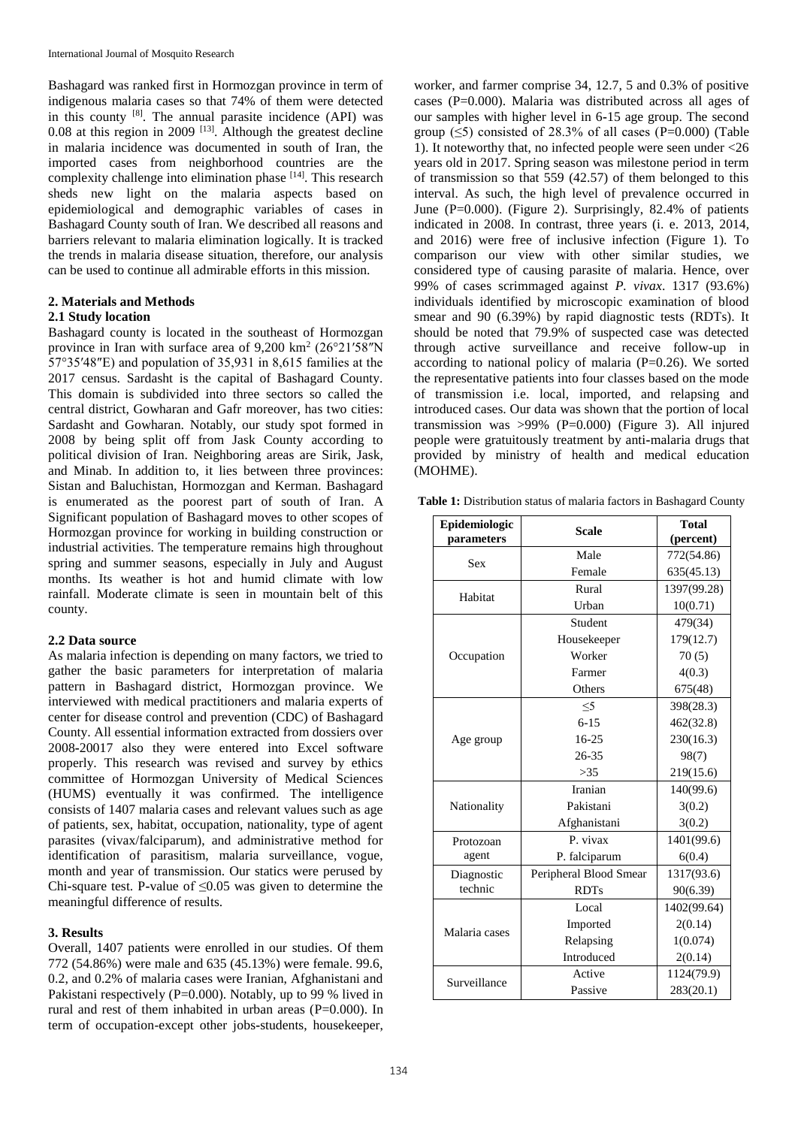Bashagard was ranked first in Hormozgan province in term of indigenous malaria cases so that 74% of them were detected in this county  $[8]$ . The annual parasite incidence (API) was 0.08 at this region in 2009  $^{[13]}$ . Although the greatest decline in malaria incidence was documented in south of Iran, the imported cases from neighborhood countries are the complexity challenge into elimination phase [14]. This research sheds new light on the malaria aspects based on epidemiological and demographic variables of cases in Bashagard County south of Iran. We described all reasons and barriers relevant to malaria elimination logically. It is tracked the trends in malaria disease situation, therefore, our analysis can be used to continue all admirable efforts in this mission.

### **2. Materials and Methods 2.1 Study location**

Bashagard county is located in the southeast of Hormozgan province in Iran with surface area of 9,200 km<sup>2</sup> (26°21′58″N 57°35′48″E) and population of 35,931 in 8,615 families at the 2017 census. Sardasht is the capital of Bashagard County. This domain is subdivided into three sectors so called the central district, Gowharan and Gafr moreover, has two cities: Sardasht and Gowharan. Notably, our study spot formed in 2008 by being split off from Jask County according to political division of Iran. Neighboring areas are Sirik, Jask, and Minab. In addition to, it lies between three provinces: Sistan and Baluchistan, Hormozgan and Kerman. Bashagard is enumerated as the poorest part of south of Iran. A Significant population of Bashagard moves to other scopes of Hormozgan province for working in building construction or industrial activities. The temperature remains high throughout spring and summer seasons, especially in July and August months. Its weather is hot and humid climate with low rainfall. Moderate climate is seen in mountain belt of this county.

### **2.2 Data source**

As malaria infection is depending on many factors, we tried to gather the basic parameters for interpretation of malaria pattern in Bashagard district, Hormozgan province. We interviewed with medical practitioners and malaria experts of center for disease control and prevention (CDC) of Bashagard County. All essential information extracted from dossiers over 2008**-**20017 also they were entered into Excel software properly. This research was revised and survey by ethics committee of Hormozgan University of Medical Sciences (HUMS) eventually it was confirmed. The intelligence consists of 1407 malaria cases and relevant values such as age of patients, sex, habitat, occupation, nationality, type of agent parasites (vivax/falciparum), and administrative method for identification of parasitism, malaria surveillance, vogue, month and year of transmission. Our statics were perused by Chi**-**square test. P**-**value of ≤0.05 was given to determine the meaningful difference of results.

### **3. Results**

Overall, 1407 patients were enrolled in our studies. Of them 772 (54.86%) were male and 635 (45.13%) were female. 99.6, 0.2, and 0.2% of malaria cases were Iranian, Afghanistani and Pakistani respectively (P=0.000). Notably, up to 99 % lived in rural and rest of them inhabited in urban areas (P=0.000). In term of occupation-except other jobs**-**students, housekeeper,

worker, and farmer comprise 34, 12.7, 5 and 0.3% of positive cases (P=0.000). Malaria was distributed across all ages of our samples with higher level in 6**-**15 age group. The second group  $(\leq 5)$  consisted of 28.3% of all cases (P=0.000) (Table 1). It noteworthy that, no infected people were seen under <26 years old in 2017. Spring season was milestone period in term of transmission so that 559 (42.57) of them belonged to this interval. As such, the high level of prevalence occurred in June (P=0.000). (Figure 2). Surprisingly, 82.4% of patients indicated in 2008. In contrast, three years (i. e. 2013, 2014, and 2016) were free of inclusive infection (Figure 1). To comparison our view with other similar studies, we considered type of causing parasite of malaria. Hence, over 99% of cases scrimmaged against *P. vivax*. 1317 (93.6%) individuals identified by microscopic examination of blood smear and 90 (6.39%) by rapid diagnostic tests (RDTs). It should be noted that 79.9% of suspected case was detected through active surveillance and receive follow-up in according to national policy of malaria  $(P=0.26)$ . We sorted the representative patients into four classes based on the mode of transmission i.e. local, imported, and relapsing and introduced cases. Our data was shown that the portion of local transmission was  $>99\%$  (P=0.000) (Figure 3). All injured people were gratuitously treatment by anti**-**malaria drugs that provided by ministry of health and medical education (MOHME).

**Table 1:** Distribution status of malaria factors in Bashagard County

| Epidemiologic<br>parameters | <b>Scale</b>           | <b>Total</b><br>(percent) |
|-----------------------------|------------------------|---------------------------|
| Sex                         | Male                   | 772(54.86)                |
|                             | Female                 | 635(45.13)                |
| Habitat                     | Rural                  | 1397(99.28)               |
|                             | Urban                  | 10(0.71)                  |
| Occupation                  | Student                | 479(34)                   |
|                             | Housekeeper            | 179(12.7)                 |
|                             | Worker                 | 70(5)                     |
|                             | Farmer                 | 4(0.3)                    |
|                             | Others                 | 675(48)                   |
| Age group                   | $<$ 5                  | 398(28.3)                 |
|                             | $6 - 15$               | 462(32.8)                 |
|                             | 16-25                  | 230(16.3)                 |
|                             | 26-35                  | 98(7)                     |
|                             | >35                    | 219(15.6)                 |
| Nationality                 | Iranian                | 140(99.6)                 |
|                             | Pakistani              | 3(0.2)                    |
|                             | Afghanistani           | 3(0.2)                    |
| Protozoan<br>agent          | P. vivax               | 1401(99.6)                |
|                             | P. falciparum          | 6(0.4)                    |
| Diagnostic<br>technic       | Peripheral Blood Smear | 1317(93.6)                |
|                             | <b>RDTs</b>            | 90(6.39)                  |
| Malaria cases               | Local                  | 1402(99.64)               |
|                             | Imported               | 2(0.14)                   |
|                             | Relapsing              | 1(0.074)                  |
|                             | Introduced             | 2(0.14)                   |
| Surveillance                | Active                 | 1124(79.9)                |
|                             | Passive                | 283(20.1)                 |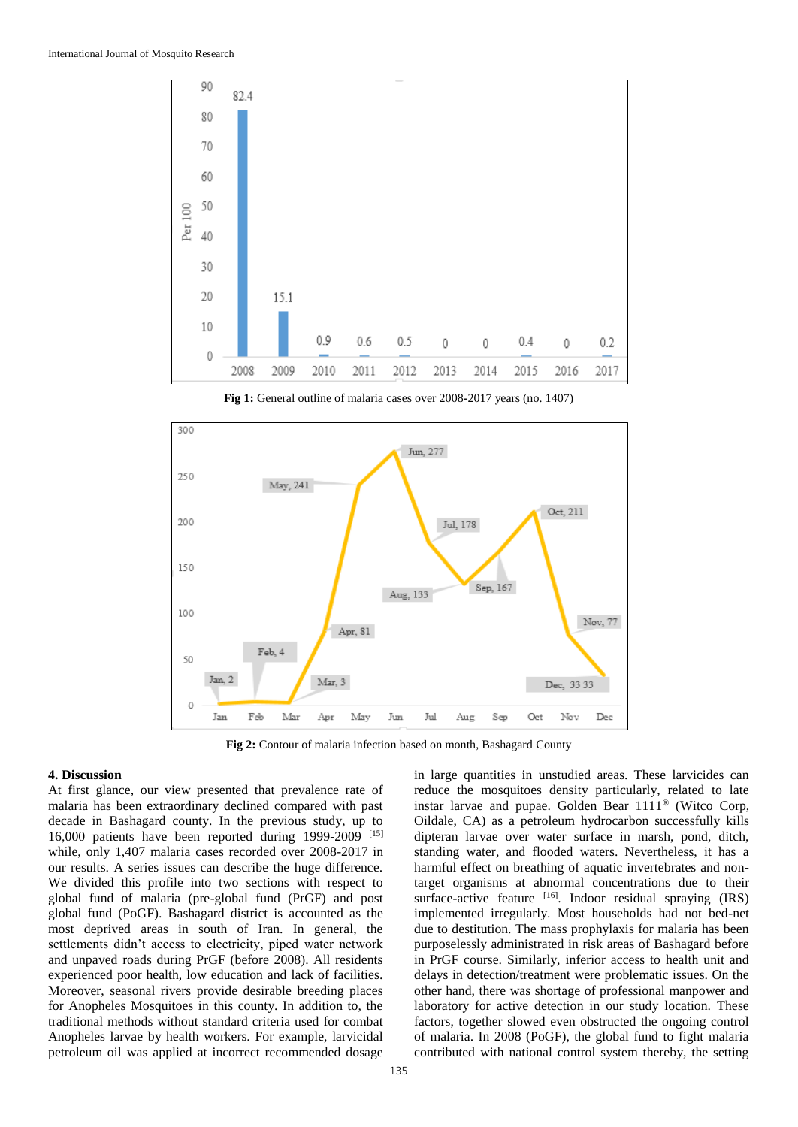

**Fig 1:** General outline of malaria cases over 2008**-**2017 years (no. 1407)



**Fig 2:** Contour of malaria infection based on month, Bashagard County

### **4. Discussion**

At first glance, our view presented that prevalence rate of malaria has been extraordinary declined compared with past decade in Bashagard county. In the previous study, up to 16,000 patients have been reported during 1999**-**2009 [15] while, only 1,407 malaria cases recorded over 2008-2017 in our results. A series issues can describe the huge difference. We divided this profile into two sections with respect to global fund of malaria (pre-global fund (PrGF) and post global fund (PoGF). Bashagard district is accounted as the most deprived areas in south of Iran. In general, the settlements didn't access to electricity, piped water network and unpaved roads during PrGF (before 2008). All residents experienced poor health, low education and lack of facilities. Moreover, seasonal rivers provide desirable breeding places for Anopheles Mosquitoes in this county. In addition to, the traditional methods without standard criteria used for combat Anopheles larvae by health workers. For example, larvicidal petroleum oil was applied at incorrect recommended dosage

in large quantities in unstudied areas. These larvicides can reduce the mosquitoes density particularly, related to late instar larvae and pupae. Golden Bear 1111® (Witco Corp, Oildale, CA) as a petroleum hydrocarbon successfully kills dipteran larvae over water surface in marsh, pond, ditch, standing water, and flooded waters. Nevertheless, it has a harmful effect on breathing of aquatic invertebrates and nontarget organisms at abnormal concentrations due to their surface-active feature [16]. Indoor residual spraying (IRS) implemented irregularly. Most households had not bed-net due to destitution. The mass prophylaxis for malaria has been purposelessly administrated in risk areas of Bashagard before in PrGF course. Similarly, inferior access to health unit and delays in detection/treatment were problematic issues. On the other hand, there was shortage of professional manpower and laboratory for active detection in our study location. These factors, together slowed even obstructed the ongoing control of malaria. In 2008 (PoGF), the global fund to fight malaria contributed with national control system thereby, the setting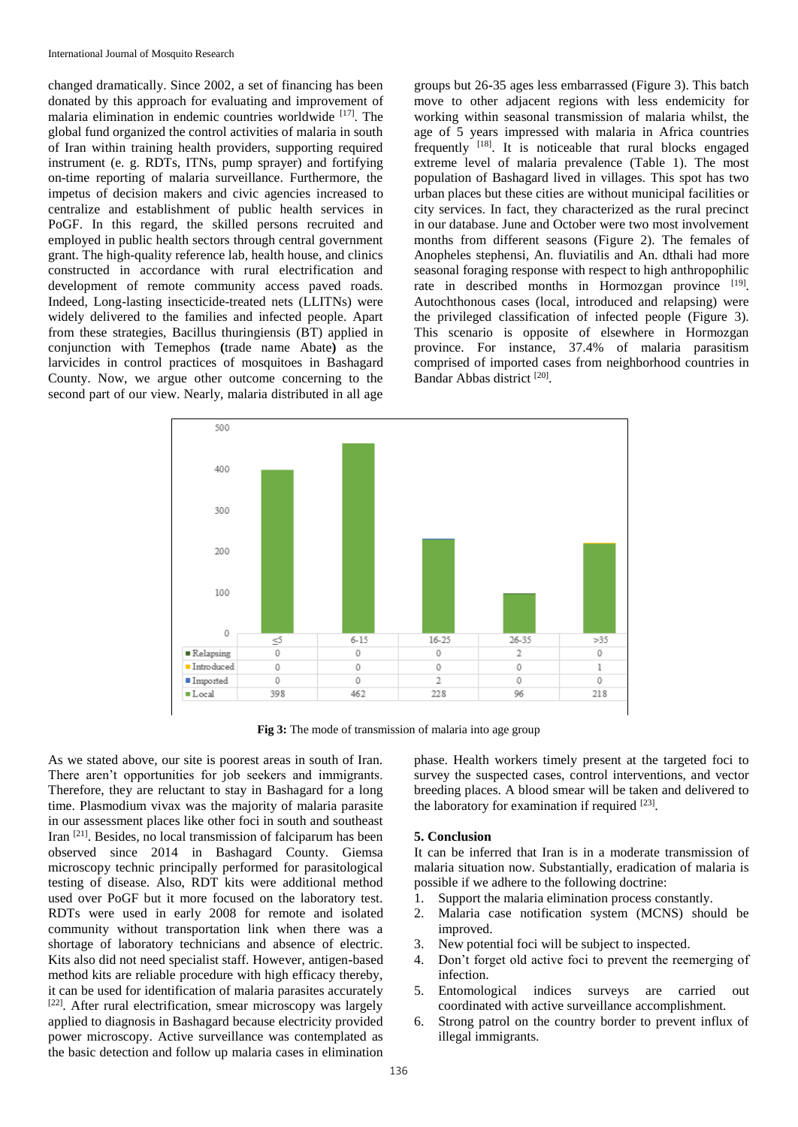changed dramatically. Since 2002, a set of financing has been donated by this approach for evaluating and improvement of malaria elimination in endemic countries worldwide [17] . The global fund organized the control activities of malaria in south of Iran within training health providers, supporting required instrument (e. g. RDTs, ITNs, pump sprayer) and fortifying on-time reporting of malaria surveillance. Furthermore, the impetus of decision makers and civic agencies increased to centralize and establishment of public health services in PoGF. In this regard, the skilled persons recruited and employed in public health sectors through central government grant. The high-quality reference lab, health house, and clinics constructed in accordance with rural electrification and development of remote community access paved roads. Indeed, Long-lasting insecticide-treated nets (LLITNs) were widely delivered to the families and infected people. Apart from these strategies, Bacillus thuringiensis (BT) applied in conjunction with Temephos **(**trade name Abate**)** as the larvicides in control practices of mosquitoes in Bashagard County. Now, we argue other outcome concerning to the second part of our view. Nearly, malaria distributed in all age

groups but 26**-**35 ages less embarrassed (Figure 3). This batch move to other adjacent regions with less endemicity for working within seasonal transmission of malaria whilst, the age of 5 years impressed with malaria in Africa countries frequently  $[18]$ . It is noticeable that rural blocks engaged extreme level of malaria prevalence (Table 1). The most population of Bashagard lived in villages. This spot has two urban places but these cities are without municipal facilities or city services. In fact, they characterized as the rural precinct in our database. June and October were two most involvement months from different seasons (Figure 2). The females of Anopheles stephensi, An. fluviatilis and An. dthali had more seasonal foraging response with respect to high anthropophilic rate in described months in Hormozgan province [19]. Autochthonous cases (local, introduced and relapsing) were the privileged classification of infected people (Figure 3). This scenario is opposite of elsewhere in Hormozgan province. For instance, 37.4% of malaria parasitism comprised of imported cases from neighborhood countries in Bandar Abbas district<sup>[20]</sup>.



**Fig 3:** The mode of transmission of malaria into age group

As we stated above, our site is poorest areas in south of Iran. There aren't opportunities for job seekers and immigrants. Therefore, they are reluctant to stay in Bashagard for a long time. Plasmodium vivax was the majority of malaria parasite in our assessment places like other foci in south and southeast Iran [21]. Besides, no local transmission of falciparum has been observed since 2014 in Bashagard County. Giemsa microscopy technic principally performed for parasitological testing of disease. Also, RDT kits were additional method used over PoGF but it more focused on the laboratory test. RDTs were used in early 2008 for remote and isolated community without transportation link when there was a shortage of laboratory technicians and absence of electric. Kits also did not need specialist staff. However, antigen**-**based method kits are reliable procedure with high efficacy thereby, it can be used for identification of malaria parasites accurately [22]. After rural electrification, smear microscopy was largely applied to diagnosis in Bashagard because electricity provided power microscopy. Active surveillance was contemplated as the basic detection and follow up malaria cases in elimination

phase. Health workers timely present at the targeted foci to survey the suspected cases, control interventions, and vector breeding places. A blood smear will be taken and delivered to the laboratory for examination if required [23].

### **5. Conclusion**

It can be inferred that Iran is in a moderate transmission of malaria situation now. Substantially, eradication of malaria is possible if we adhere to the following doctrine:

- 1. Support the malaria elimination process constantly.
- 2. Malaria case notification system (MCNS) should be improved.
- 3. New potential foci will be subject to inspected.
- 4. Don't forget old active foci to prevent the reemerging of infection.
- 5. Entomological indices surveys are carried out coordinated with active surveillance accomplishment.
- 6. Strong patrol on the country border to prevent influx of illegal immigrants.